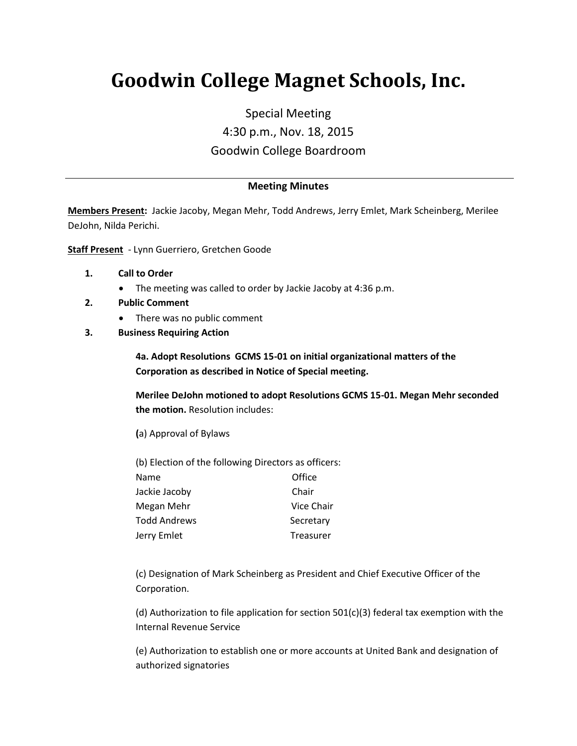# **Goodwin College Magnet Schools, Inc.**

Special Meeting 4:30 p.m., Nov. 18, 2015 Goodwin College Boardroom

### **Meeting Minutes**

**Members Present:** Jackie Jacoby, Megan Mehr, Todd Andrews, Jerry Emlet, Mark Scheinberg, Merilee DeJohn, Nilda Perichi.

**Staff Present** - Lynn Guerriero, Gretchen Goode

- **1. Call to Order**
	- The meeting was called to order by Jackie Jacoby at 4:36 p.m.
- **2. Public Comment** 
	- There was no public comment
- **3. Business Requiring Action**

**4a. Adopt Resolutions GCMS 15-01 on initial organizational matters of the Corporation as described in Notice of Special meeting.**

**Merilee DeJohn motioned to adopt Resolutions GCMS 15-01. Megan Mehr seconded the motion.** Resolution includes:

**(**a) Approval of Bylaws

(b) Election of the following Directors as officers: Name **Office** Jackie Jacoby Chair Megan Mehr Vice Chair Todd Andrews Secretary Jerry Emlet **Treasurer** 

(c) Designation of Mark Scheinberg as President and Chief Executive Officer of the Corporation.

(d) Authorization to file application for section  $501(c)(3)$  federal tax exemption with the Internal Revenue Service

(e) Authorization to establish one or more accounts at United Bank and designation of authorized signatories